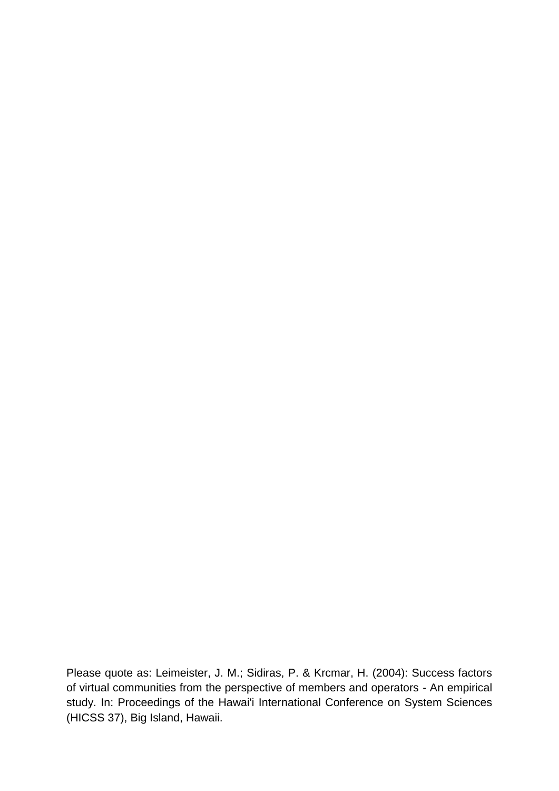Please quote as: Leimeister, J. M.; Sidiras, P. & Krcmar, H. (2004): Success factors of virtual communities from the perspective of members and operators - An empirical study. In: Proceedings of the Hawai'i International Conference on System Sciences (HICSS 37), Big Island, Hawaii.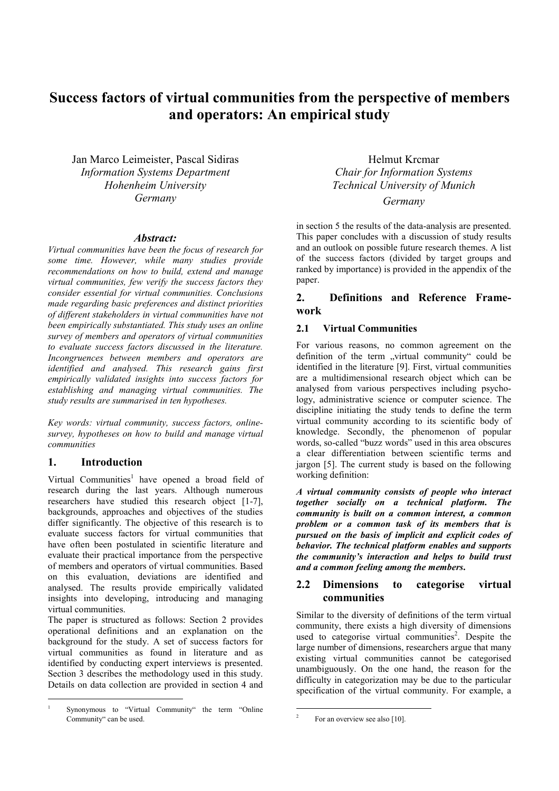# **Success factors of virtual communities from the perspective of members and operators: An empirical study**

Jan Marco Leimeister, Pascal Sidiras *Information Systems Department Hohenheim University Germany*

#### *Abstract:*

*Virtual communities have been the focus of research for some time. However, while many studies provide recommendations on how to build, extend and manage virtual communities, few verify the success factors they consider essential for virtual communities. Conclusions made regarding basic preferences and distinct priorities of different stakeholders in virtual communities have not been empirically substantiated. This study uses an online survey of members and operators of virtual communities to evaluate success factors discussed in the literature. Incongruences between members and operators are identified and analysed. This research gains first empirically validated insights into success factors for establishing and managing virtual communities. The study results are summarised in ten hypotheses.* 

*Key words: virtual community, success factors, onlinesurvey, hypotheses on how to build and manage virtual communities*

#### **1. Introduction**

 $\overline{a}$ 

Virtual Communities<sup>1</sup> have opened a broad field of research during the last years. Although numerous researchers have studied this research object [1-7], backgrounds, approaches and objectives of the studies differ significantly. The objective of this research is to evaluate success factors for virtual communities that have often been postulated in scientific literature and evaluate their practical importance from the perspective of members and operators of virtual communities. Based on this evaluation, deviations are identified and analysed. The results provide empirically validated insights into developing, introducing and managing virtual communities.

The paper is structured as follows: Section 2 provides operational definitions and an explanation on the background for the study. A set of success factors for virtual communities as found in literature and as identified by conducting expert interviews is presented. Section 3 describes the methodology used in this study. Details on data collection are provided in section 4 and

Helmut Krcmar *Chair for Information Systems Technical University of Munich* 

*Germany* 

in section 5 the results of the data-analysis are presented. This paper concludes with a discussion of study results and an outlook on possible future research themes. A list of the success factors (divided by target groups and ranked by importance) is provided in the appendix of the paper.

# **2. Definitions and Reference Framework**

#### **2.1 Virtual Communities**

For various reasons, no common agreement on the definition of the term "virtual community" could be identified in the literature [9]. First, virtual communities are a multidimensional research object which can be analysed from various perspectives including psychology, administrative science or computer science. The discipline initiating the study tends to define the term virtual community according to its scientific body of knowledge. Secondly, the phenomenon of popular words, so-called "buzz words" used in this area obscures a clear differentiation between scientific terms and jargon [5]. The current study is based on the following working definition:

*A virtual community consists of people who interact together socially on a technical platform. The community is built on a common interest, a common problem or a common task of its members that is pursued on the basis of implicit and explicit codes of behavior. The technical platform enables and supports the community's interaction and helps to build trust and a common feeling among the members***.** 

# **2.2 Dimensions to categorise virtual communities**

Similar to the diversity of definitions of the term virtual community, there exists a high diversity of dimensions used to categorise virtual communities<sup>2</sup>. Despite the large number of dimensions, researchers argue that many existing virtual communities cannot be categorised unambiguously. On the one hand, the reason for the difficulty in categorization may be due to the particular specification of the virtual community. For example, a

<sup>1</sup> Synonymous to "Virtual Community" the term "Online Community" can be used.

 $\frac{1}{2}$ For an overview see also [10].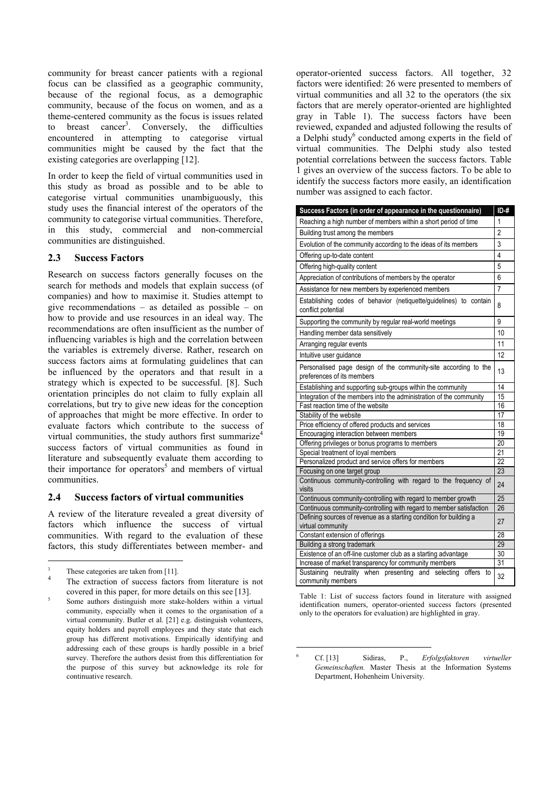community for breast cancer patients with a regional focus can be classified as a geographic community, because of the regional focus, as a demographic community, because of the focus on women, and as a theme-centered community as the focus is issues related to breast cancer<sup>3</sup>. Conversely, the difficulties encountered in attempting to categorise virtual communities might be caused by the fact that the existing categories are overlapping [12].

In order to keep the field of virtual communities used in this study as broad as possible and to be able to categorise virtual communities unambiguously, this study uses the financial interest of the operators of the community to categorise virtual communities. Therefore, in this study, commercial and non-commercial communities are distinguished.

#### **2.3 Success Factors**

Research on success factors generally focuses on the search for methods and models that explain success (of companies) and how to maximise it. Studies attempt to give recommendations – as detailed as possible – on how to provide and use resources in an ideal way. The recommendations are often insufficient as the number of influencing variables is high and the correlation between the variables is extremely diverse. Rather, research on success factors aims at formulating guidelines that can be influenced by the operators and that result in a strategy which is expected to be successful. [8]. Such orientation principles do not claim to fully explain all correlations, but try to give new ideas for the conception of approaches that might be more effective. In order to evaluate factors which contribute to the success of virtual communities, the study authors first summarize<sup>4</sup> success factors of virtual communities as found in literature and subsequently evaluate them according to their importance for operators<sup>5</sup> and members of virtual communities.

#### **2.4 Success factors of virtual communities**

A review of the literature revealed a great diversity of factors which influence the success of virtual communities. With regard to the evaluation of these factors, this study differentiates between member- and

 $\overline{a}$ 

operator-oriented success factors. All together, 32 factors were identified: 26 were presented to members of virtual communities and all 32 to the operators (the six factors that are merely operator-oriented are highlighted gray in Table 1). The success factors have been reviewed, expanded and adjusted following the results of a Delphi study<sup>6</sup> conducted among experts in the field of virtual communities. The Delphi study also tested potential correlations between the success factors. Table 1 gives an overview of the success factors. To be able to identify the success factors more easily, an identification number was assigned to each factor.

| Success Factors (in order of appearance in the questionnaire)                                  | $ID +#$        |  |
|------------------------------------------------------------------------------------------------|----------------|--|
| Reaching a high number of members within a short period of time                                | 1              |  |
| Building trust among the members                                                               |                |  |
| Evolution of the community according to the ideas of its members                               |                |  |
| Offering up-to-date content                                                                    | $\overline{4}$ |  |
| Offering high-quality content                                                                  | 5              |  |
| Appreciation of contributions of members by the operator                                       | 6              |  |
| Assistance for new members by experienced members                                              | $\overline{7}$ |  |
| Establishing codes of behavior (netiquette/guidelines) to contain<br>conflict potential        |                |  |
| Supporting the community by regular real-world meetings                                        | 9              |  |
| Handling member data sensitively                                                               |                |  |
| Arranging regular events                                                                       | 11             |  |
| Intuitive user guidance                                                                        | 12             |  |
| Personalised page design of the community-site according to the<br>preferences of its members  |                |  |
| Establishing and supporting sub-groups within the community                                    | 14             |  |
| Integration of the members into the administration of the community                            | 15             |  |
| Fast reaction time of the website                                                              | 16             |  |
| Stability of the website                                                                       | 17             |  |
| Price efficiency of offered products and services                                              | 18<br>19       |  |
| Encouraging interaction between members                                                        |                |  |
| Offering privileges or bonus programs to members<br>Special treatment of loyal members         |                |  |
| Personalized product and service offers for members                                            |                |  |
| Focusing on one target group                                                                   |                |  |
| Continuous community-controlling with regard to the frequency of<br>visits                     |                |  |
| Continuous community-controlling with regard to member growth                                  | 25             |  |
| Continuous community-controlling with regard to member satisfaction                            | 26             |  |
| Defining sources of revenue as a starting condition for building a                             | 27             |  |
| virtual community                                                                              |                |  |
| Constant extension of offerings                                                                | 28             |  |
| Building a strong trademark                                                                    | 29<br>30       |  |
| Existence of an off-line customer club as a starting advantage                                 |                |  |
| Increase of market transparency for community members                                          | 31             |  |
| Sustaining<br>neutrality when presenting<br>and selecting<br>offers<br>to<br>community members | 32             |  |

Table 1: List of success factors found in literature with assigned identification numers, operator-oriented success factors (presented only to the operators for evaluation) are highlighted in gray.

 $\overline{a}$ 

<sup>3</sup> These categories are taken from [11].

<sup>4</sup> The extraction of success factors from literature is not covered in this paper, for more details on this see [13].

Some authors distinguish more stake-holders within a virtual community, especially when it comes to the organisation of a virtual community. Butler et al. [21] e.g. distinguish volunteers, equity holders and payroll employees and they state that each group has different motivations. Empirically identifying and addressing each of these groups is hardly possible in a brief survey. Therefore the authors desist from this differentiation for the purpose of this survey but acknowledge its role for continuative research.

<sup>6</sup> Cf. [13] Sidiras, P., *Erfolgsfaktoren virtueller Gemeinschaften.* Master Thesis at the Information Systems Department, Hohenheim University.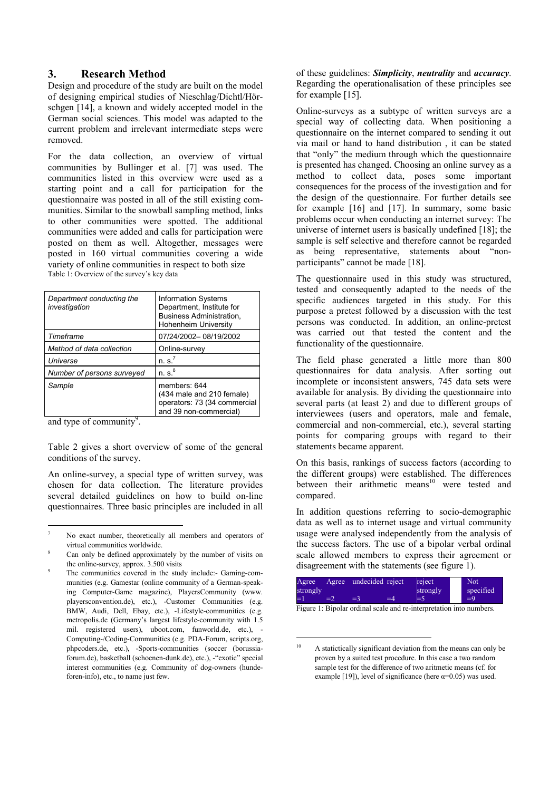# **3. Research Method**

Design and procedure of the study are built on the model of designing empirical studies of Nieschlag/Dichtl/Hörschgen [14], a known and widely accepted model in the German social sciences. This model was adapted to the current problem and irrelevant intermediate steps were removed.

For the data collection, an overview of virtual communities by Bullinger et al. [7] was used. The communities listed in this overview were used as a starting point and a call for participation for the questionnaire was posted in all of the still existing communities. Similar to the snowball sampling method, links to other communities were spotted. The additional communities were added and calls for participation were posted on them as well. Altogether, messages were posted in 160 virtual communities covering a wide variety of online communities in respect to both size Table 1: Overview of the survey's key data

| Department conducting the<br>investigation | <b>Information Systems</b><br>Department, Institute for<br>Business Administration,<br><b>Hohenheim University</b> |
|--------------------------------------------|--------------------------------------------------------------------------------------------------------------------|
| Timeframe                                  | 07/24/2002-08/19/2002                                                                                              |
| Method of data collection                  | Online-survey                                                                                                      |
| Universe                                   | n. s.'                                                                                                             |
| Number of persons surveyed                 | n. s. <sup>8</sup>                                                                                                 |
| Sample                                     | members: 644<br>(434 male and 210 female)<br>operators: 73 (34 commercial<br>and 39 non-commercial)                |

and type of community $9$ .

 $\overline{a}$ 

Table 2 gives a short overview of some of the general conditions of the survey.

An online-survey, a special type of written survey, was chosen for data collection. The literature provides several detailed guidelines on how to build on-line questionnaires. Three basic principles are included in all of these guidelines: *Simplicity*, *neutrality* and *accuracy*. Regarding the operationalisation of these principles see for example [15].

Online-surveys as a subtype of written surveys are a special way of collecting data. When positioning a questionnaire on the internet compared to sending it out via mail or hand to hand distribution , it can be stated that "only" the medium through which the questionnaire is presented has changed. Choosing an online survey as a method to collect data, poses some important consequences for the process of the investigation and for the design of the questionnaire. For further details see for example [16] and [17]. In summary, some basic problems occur when conducting an internet survey: The universe of internet users is basically undefined [18]; the sample is self selective and therefore cannot be regarded as being representative, statements about "nonparticipants" cannot be made [18].

The questionnaire used in this study was structured, tested and consequently adapted to the needs of the specific audiences targeted in this study. For this purpose a pretest followed by a discussion with the test persons was conducted. In addition, an online-pretest was carried out that tested the content and the functionality of the questionnaire.

The field phase generated a little more than 800 questionnaires for data analysis. After sorting out incomplete or inconsistent answers, 745 data sets were available for analysis. By dividing the questionnaire into several parts (at least 2) and due to different groups of interviewees (users and operators, male and female, commercial and non-commercial, etc.), several starting points for comparing groups with regard to their statements became apparent.

On this basis, rankings of success factors (according to the different groups) were established. The differences between their arithmetic means<sup>10</sup> were tested and compared.

In addition questions referring to socio-demographic data as well as to internet usage and virtual community usage were analysed independently from the analysis of the success factors. The use of a bipolar verbal ordinal scale allowed members to express their agreement or disagreement with the statements (see figure 1).



Figure 1: Bipolar ordinal scale and re-interpretation into numbers.

<sup>7</sup> No exact number, theoretically all members and operators of virtual communities worldwide. 8

Can only be defined approximately by the number of visits on the online-survey, approx. 3.500 visits

<sup>9</sup> The communities covered in the study include:- Gaming-communities (e.g. Gamestar (online community of a German-speaking Computer-Game magazine), PlayersCommunity (www. playersconvention.de), etc.), -Customer Communities (e.g. BMW, Audi, Dell, Ebay, etc.), -Lifestyle-communities (e.g. metropolis.de (Germany's largest lifestyle-community with 1.5 mil. registered users), uboot.com, funworld.de, etc.), - Computing-/Coding-Communities (e.g. PDA-Forum, scripts.org, phpcoders.de, etc.), -Sports-communities (soccer (borussiaforum.de), basketball (schoenen-dunk.de), etc.), -"exotic" special interest communities (e.g. Community of dog-owners (hundeforen-info), etc., to name just few.

 $\overline{10}$ A statictically significant deviation from the means can only be proven by a suited test procedure. In this case a two random sample test for the difference of two aritmetic means (cf. for example [19]), level of significance (here  $\alpha=0.05$ ) was used.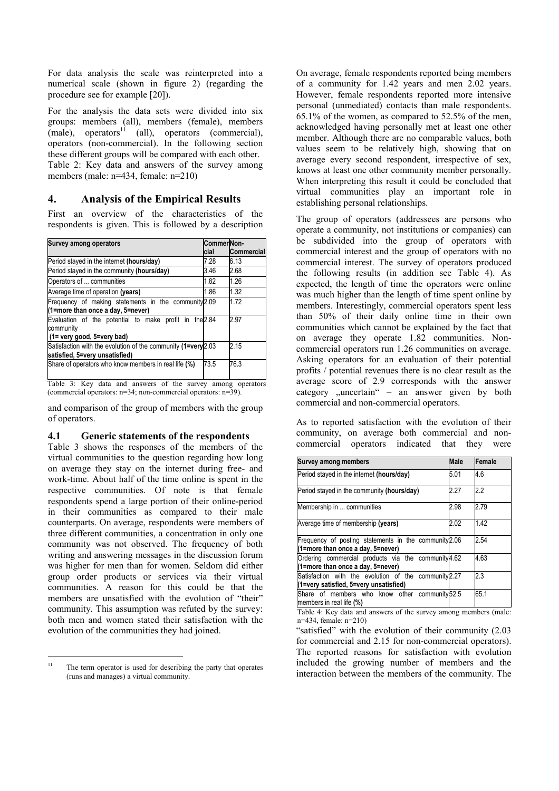For data analysis the scale was reinterpreted into a numerical scale (shown in figure 2) (regarding the procedure see for example [20]).

For the analysis the data sets were divided into six groups: members (all), members (female), members  $(male)$ , operators<sup>11</sup> (all), operators (commercial),  $(male)$ , operators<sup>11</sup> (all), operators (commercial), operators (non-commercial). In the following section these different groups will be compared with each other. Table 2: Key data and answers of the survey among members (male: n=434, female: n=210)

# **4. Analysis of the Empirical Results**

First an overview of the characteristics of the respondents is given. This is followed by a description

| CommerNon-                                                   |                                                             |
|--------------------------------------------------------------|-------------------------------------------------------------|
| cial                                                         | Commercial                                                  |
| 7.28                                                         | 6.13                                                        |
| 3.46                                                         | 2.68                                                        |
| 1.82                                                         | 1.26                                                        |
| 1.86                                                         | 1.32                                                        |
| Frequency of making statements in the community 2.09         | 1.72                                                        |
| Evaluation of the potential to make profit in the 2.84       | 2.97                                                        |
| Satisfaction with the evolution of the community (1=very2.03 | 2.15                                                        |
| 73.5                                                         | 76.3                                                        |
|                                                              | Table 3: Key data and answers of the survey among operators |

lata and answers of the survey among operators (commercial operators: n=34; non-commercial operators: n=39).

and comparison of the group of members with the group of operators.

# **4.1 Generic statements of the respondents**

Table 3 shows the responses of the members of the virtual communities to the question regarding how long on average they stay on the internet during free- and work-time. About half of the time online is spent in the respective communities. Of note is that female respondents spend a large portion of their online-period in their communities as compared to their male counterparts. On average, respondents were members of three different communities, a concentration in only one community was not observed. The frequency of both writing and answering messages in the discussion forum was higher for men than for women. Seldom did either group order products or services via their virtual communities. A reason for this could be that the members are unsatisfied with the evolution of "their" community. This assumption was refuted by the survey: both men and women stated their satisfaction with the evolution of the communities they had joined.

On average, female respondents reported being members of a community for 1.42 years and men 2.02 years. However, female respondents reported more intensive personal (unmediated) contacts than male respondents. 65.1% of the women, as compared to 52.5% of the men, acknowledged having personally met at least one other member. Although there are no comparable values, both values seem to be relatively high, showing that on average every second respondent, irrespective of sex, knows at least one other community member personally. When interpreting this result it could be concluded that virtual communities play an important role in establishing personal relationships.

The group of operators (addressees are persons who operate a community, not institutions or companies) can be subdivided into the group of operators with commercial interest and the group of operators with no commercial interest. The survey of operators produced the following results (in addition see Table 4). As expected, the length of time the operators were online was much higher than the length of time spent online by members. Interestingly, commercial operators spent less than 50% of their daily online time in their own communities which cannot be explained by the fact that on average they operate 1.82 communities. Noncommercial operators run 1.26 communities on average. Asking operators for an evaluation of their potential profits / potential revenues there is no clear result as the average score of 2.9 corresponds with the answer category  $\mu$  uncertain  $\mu$  – an answer given by both commercial and non-commercial operators.

As to reported satisfaction with the evolution of their community, on average both commercial and noncommercial operators indicated that they were

| <b>Survey among members</b>                                                                     | <b>Male</b> | Female |
|-------------------------------------------------------------------------------------------------|-------------|--------|
| Period stayed in the internet (hours/day)                                                       | 5.01        | 4.6    |
| Period stayed in the community (hours/day)                                                      | 2.27        | 2.2    |
| Membership in  communities                                                                      | 2.98        | 2.79   |
| Average time of membership (years)                                                              | 2.02        | 1.42   |
| Frequency of posting statements in the community 2.06<br>(1=more than once a day, 5=never)      |             | 2.54   |
| Ordering commercial products via the community 4.62<br>(1=more than once a day, 5=never)        |             | 4.63   |
| Satisfaction with the evolution of the community 2.27<br>(1=very satisfied, 5=very unsatisfied) |             | 2.3    |
| Share of members who know other community 52.5<br>members in real life (%)                      |             | 65.1   |

Table 4: Key data and answers of the survey among members (male: n=434, female: n=210)

"satisfied" with the evolution of their community (2.03 for commercial and 2.15 for non-commercial operators). The reported reasons for satisfaction with evolution included the growing number of members and the interaction between the members of the community. The

 $\overline{11}$ The term operator is used for describing the party that operates (runs and manages) a virtual community.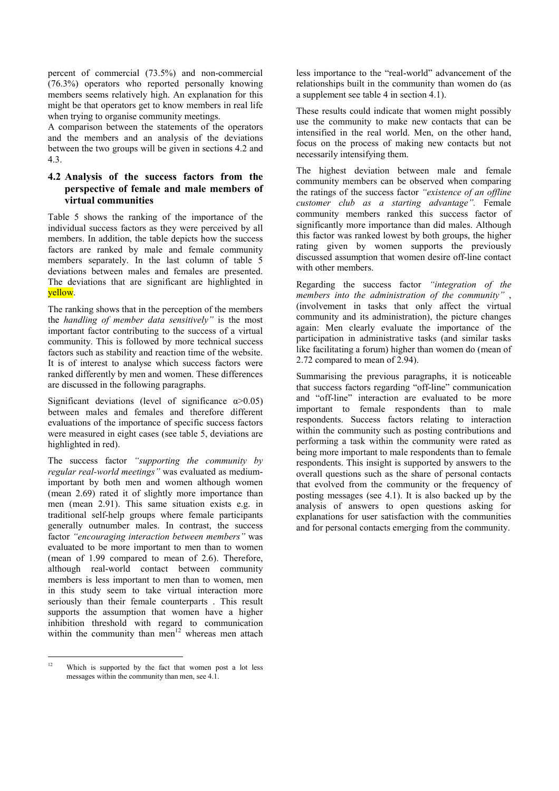percent of commercial (73.5%) and non-commercial (76.3%) operators who reported personally knowing members seems relatively high. An explanation for this might be that operators get to know members in real life when trying to organise community meetings.

A comparison between the statements of the operators and the members and an analysis of the deviations between the two groups will be given in sections 4.2 and 4.3.

# **4.2 Analysis of the success factors from the perspective of female and male members of virtual communities**

Table 5 shows the ranking of the importance of the individual success factors as they were perceived by all members. In addition, the table depicts how the success factors are ranked by male and female community members separately. In the last column of table 5 deviations between males and females are presented. The deviations that are significant are highlighted in yellow.

The ranking shows that in the perception of the members the *handling of member data sensitively"* is the most important factor contributing to the success of a virtual community. This is followed by more technical success factors such as stability and reaction time of the website. It is of interest to analyse which success factors were ranked differently by men and women. These differences are discussed in the following paragraphs.

Significant deviations (level of significance  $\alpha$  > 0.05) between males and females and therefore different evaluations of the importance of specific success factors were measured in eight cases (see table 5, deviations are highlighted in red).

The success factor *"supporting the community by regular real-world meetings"* was evaluated as mediumimportant by both men and women although women (mean 2.69) rated it of slightly more importance than men (mean 2.91). This same situation exists e.g. in traditional self-help groups where female participants generally outnumber males. In contrast, the success factor *"encouraging interaction between members"* was evaluated to be more important to men than to women (mean of 1.99 compared to mean of 2.6). Therefore, although real-world contact between community members is less important to men than to women, men in this study seem to take virtual interaction more seriously than their female counterparts . This result supports the assumption that women have a higher inhibition threshold with regard to communication within the community than men<sup>12</sup> whereas men attach

less importance to the "real-world" advancement of the relationships built in the community than women do (as a supplement see table 4 in section 4.1).

These results could indicate that women might possibly use the community to make new contacts that can be intensified in the real world. Men, on the other hand, focus on the process of making new contacts but not necessarily intensifying them.

The highest deviation between male and female community members can be observed when comparing the ratings of the success factor *"existence of an offline customer club as a starting advantage".* Female community members ranked this success factor of significantly more importance than did males. Although this factor was ranked lowest by both groups, the higher rating given by women supports the previously discussed assumption that women desire off-line contact with other members.

Regarding the success factor *"integration of the members into the administration of the community"* , (involvement in tasks that only affect the virtual community and its administration), the picture changes again: Men clearly evaluate the importance of the participation in administrative tasks (and similar tasks like facilitating a forum) higher than women do (mean of 2.72 compared to mean of 2.94).

Summarising the previous paragraphs, it is noticeable that success factors regarding "off-line" communication and "off-line" interaction are evaluated to be more important to female respondents than to male respondents. Success factors relating to interaction within the community such as posting contributions and performing a task within the community were rated as being more important to male respondents than to female respondents. This insight is supported by answers to the overall questions such as the share of personal contacts that evolved from the community or the frequency of posting messages (see 4.1). It is also backed up by the analysis of answers to open questions asking for explanations for user satisfaction with the communities and for personal contacts emerging from the community.

 $\overline{12}$ Which is supported by the fact that women post a lot less messages within the community than men, see 4.1.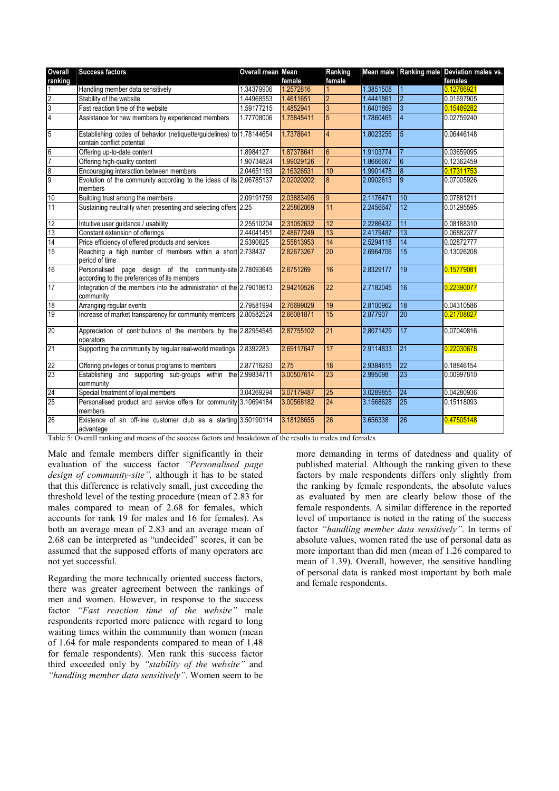| Overall          | <b>Success factors</b>                                                                                   | Overall mean Mean |            | Ranking         |           |                          | Mean male Ranking male Deviation males vs. |
|------------------|----------------------------------------------------------------------------------------------------------|-------------------|------------|-----------------|-----------|--------------------------|--------------------------------------------|
| ranking          |                                                                                                          |                   | female     | female          |           |                          | females                                    |
|                  | Handling member data sensitively                                                                         | 1.34379906        | 1.2572816  |                 | 1.3851508 |                          | 0.12786921                                 |
| $\overline{2}$   | Stability of the website                                                                                 | 1.44968553        | 1.4611651  | $\overline{2}$  | 1.4441861 | $\overline{\mathcal{L}}$ | 0.01697905                                 |
| $\overline{3}$   | Fast reaction time of the website                                                                        | 1.59177215        | 1.4852941  | $\overline{3}$  | 1.6401869 | $\overline{3}$           | 0.15489282                                 |
| $\overline{4}$   | Assistance for new members by experienced members                                                        | 1.77708006        | 1.75845411 | $\overline{5}$  | 1.7860465 | $\overline{4}$           | 0.02759240                                 |
| 5                | Establishing codes of behavior (netiquette/guidelines) to 1.78144654<br>contain conflict potential       |                   | 1.7378641  | $\overline{4}$  | 1.8023256 | $\overline{5}$           | 0.06446148                                 |
| $\boldsymbol{6}$ | Offering up-to-date content                                                                              | 1.8984127         | 1.87378641 | $6\overline{6}$ | 1.9103774 |                          | 0.03659095                                 |
| $\overline{7}$   | Offering high-quality content                                                                            | 1.90734824        | 1.99029126 |                 | 1.8666667 | $6\overline{6}$          | 0.12362459                                 |
| 8                | Encouraging interaction between members                                                                  | 2.04651163        | 2.16326531 | 10              | 1.9901478 | 8                        | 0.17311753                                 |
| 9                | Evolution of the community according to the ideas of its 2.06785137<br>members                           |                   | 2.02020202 | 8               | 2.0902613 | $\overline{9}$           | 0.07005926                                 |
| 10               | Building trust among the members                                                                         | 2.09191759        | 2.03883495 | 9               | 2.1176471 | 10                       | 0.07881211                                 |
| 11               | Sustaining neutrality when presenting and selecting offers 2.25                                          |                   | 2.25862069 | 11              | 2.2456647 | 12                       | 0.01295595                                 |
| 12               | Intuitive user guidance / usability                                                                      | 2.25510204        | 2.31052632 | 12              | 2.2286432 | 11                       | 0.08188310                                 |
| 13               | Constant extension of offerings                                                                          | 2.44041451        | 2.48677249 | 13              | 2.4179487 | 13                       | 0.06882377                                 |
| 14               | Price efficiency of offered products and services                                                        | 2.5390625         | 2.55813953 | 14              | 2.5294118 | 14                       | 0.02872777                                 |
| 15               | Reaching a high number of members within a short 2.738437<br>period of time                              |                   | 2.82673267 | 20              | 2.6964706 | 15                       | 0.13026208                                 |
| 16               | Personalised page design of the community-site 2.78093645<br>according to the preferences of its members |                   | 2.6751269  | 16              | 2.8329177 | 19                       | 0.15779081                                 |
| 17               | Integration of the members into the administration of the 2.79018613<br>community                        |                   | 2.94210526 | 22              | 2.7182045 | 16                       | 0.22390077                                 |
| $\overline{18}$  | Arranging regular events                                                                                 | 2.79581994        | 2.76699029 | 19              | 2.8100962 | 18                       | 0.04310586                                 |
| 19               | Increase of market transparency for community members 2.80582524                                         |                   | 2.66081871 | 15              | 2.877907  | 20                       | 0.21708827                                 |
| 20               | Appreciation of contributions of the members by the 2.82954545<br>operators                              |                   | 2.87755102 | 21              | 2,8071429 | 17                       | 0.07040816                                 |
| 21               | Supporting the community by regular real-world meetings 2.8392283                                        |                   | 2.69117647 | 17              | 2.9114833 | 21                       | 0.22030678                                 |
| 22               | Offering privileges or bonus programs to members                                                         | 2.87716263        | 2.75       | 18              | 2.9384615 | 22                       | 0.18846154                                 |
| 23               | Establishing and supporting sub-groups within the 2.99834711<br>community                                |                   | 3.00507614 | 23              | 2.995098  | 23                       | 0.00997810                                 |
| 24               | Special treatment of loyal members                                                                       | 3.04269294        | 3.07179487 | 25              | 3.0289855 | 24                       | 0.04280936                                 |
| 25               | Personalised product and service offers for community 3.10694184<br>members                              |                   | 3.00568182 | 24              | 3.1568628 | 25                       | 0.15118093                                 |
| 26               | Existence of an off-line customer club as a starting 3.50190114<br>advantage                             |                   | 3.18128655 | 26              | 3.656338  | 26                       | 0.47505148                                 |

Table 5: Overall ranking and means of the success factors and breakdown of the results to males and females

Male and female members differ significantly in their evaluation of the success factor *"Personalised page design of community-site",* although it has to be stated that this difference is relatively small, just exceeding the threshold level of the testing procedure (mean of 2.83 for males compared to mean of 2.68 for females, which accounts for rank 19 for males and 16 for females). As both an average mean of 2.83 and an average mean of 2.68 can be interpreted as "undecided" scores, it can be assumed that the supposed efforts of many operators are not yet successful.

Regarding the more technically oriented success factors, there was greater agreement between the rankings of men and women. However, in response to the success factor *"Fast reaction time of the website"* male respondents reported more patience with regard to long waiting times within the community than women (mean of 1.64 for male respondents compared to mean of 1.48 for female respondents). Men rank this success factor third exceeded only by *"stability of the website"* and *"handling member data sensitively"*. Women seem to be

more demanding in terms of datedness and quality of published material. Although the ranking given to these factors by male respondents differs only slightly from the ranking by female respondents, the absolute values as evaluated by men are clearly below those of the female respondents. A similar difference in the reported level of importance is noted in the rating of the success factor *"handling member data sensitively"*. In terms of absolute values, women rated the use of personal data as more important than did men (mean of 1.26 compared to mean of 1.39). Overall, however, the sensitive handling of personal data is ranked most important by both male and female respondents.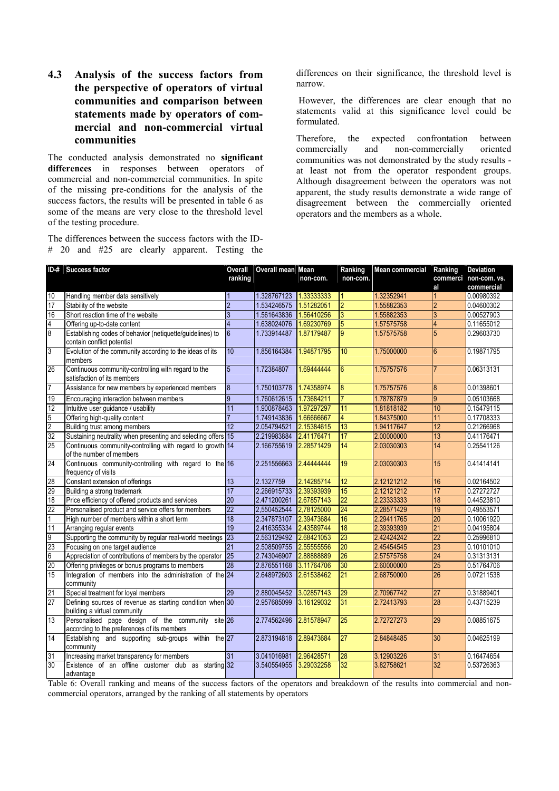# **4.3 Analysis of the success factors from the perspective of operators of virtual communities and comparison between statements made by operators of commercial and non-commercial virtual communities**

The conducted analysis demonstrated no **significant** differences in responses between operators of commercial and non-commercial communities. In spite of the missing pre-conditions for the analysis of the success factors, the results will be presented in table 6 as some of the means are very close to the threshold level of the testing procedure.

The differences between the success factors with the ID- # 20 and #25 are clearly apparent. Testing the differences on their significance, the threshold level is narrow.

 However, the differences are clear enough that no statements valid at this significance level could be formulated.

Therefore, the expected confrontation between<br>commercially and non-commercially oriented and non-commercially oriented communities was not demonstrated by the study results at least not from the operator respondent groups. Although disagreement between the operators was not apparent, the study results demonstrate a wide range of disagreement between the commercially oriented operators and the members as a whole.

| ranking<br>non-com.<br>non-com.<br>10<br>1.328767123<br>1.33333333<br>1.32352941<br>Handling member data sensitively<br>$\mathbf{1}$                                                                                                                                                                                                                                                                                                                                   | al<br>$\vert$ 1 | commerci non-com. vs.<br>commercial |
|------------------------------------------------------------------------------------------------------------------------------------------------------------------------------------------------------------------------------------------------------------------------------------------------------------------------------------------------------------------------------------------------------------------------------------------------------------------------|-----------------|-------------------------------------|
|                                                                                                                                                                                                                                                                                                                                                                                                                                                                        |                 |                                     |
|                                                                                                                                                                                                                                                                                                                                                                                                                                                                        |                 |                                     |
|                                                                                                                                                                                                                                                                                                                                                                                                                                                                        |                 | 0.00980392                          |
| 17<br>$\overline{2}$<br>$\overline{2}$<br>1.51282051<br>Stability of the website<br>1.534246575<br>1.55882353                                                                                                                                                                                                                                                                                                                                                          | $\overline{2}$  | 0.04600302                          |
| Short reaction time of the website<br>3<br>1.561643836<br>1.56410256<br>1.55882353<br>3                                                                                                                                                                                                                                                                                                                                                                                | $\overline{3}$  | 0.00527903                          |
| $\frac{16}{4}$<br>1.638024076<br>5<br>$\overline{4}$<br>1.69230769<br>1.57575758<br>Offering up-to-date content                                                                                                                                                                                                                                                                                                                                                        | $\overline{4}$  | 0.11655012                          |
| Establishing codes of behavior (netiquette/guidelines) to<br>1.87179487<br>$6\overline{6}$<br>9<br>1.733914487<br>1.57575758<br>contain conflict potential                                                                                                                                                                                                                                                                                                             | 5               | 0.29603730                          |
| $\overline{3}$<br>Evolution of the community according to the ideas of its<br>10<br>1.856164384<br>1.94871795<br>10<br>1.75000000<br>members                                                                                                                                                                                                                                                                                                                           | $6\overline{6}$ | 0.19871795                          |
| 26<br>Continuous community-controlling with regard to the<br>5<br>1.72384807<br>1.69444444<br>$6\overline{6}$<br>1.75757576<br>satisfaction of its members                                                                                                                                                                                                                                                                                                             |                 | 0.06313131                          |
| $\overline{7}$<br>Assistance for new members by experienced members<br>1.750103778<br>1.74358974<br>8<br>8<br>1.75757576                                                                                                                                                                                                                                                                                                                                               | $\overline{8}$  | 0.01398601                          |
| 19<br>1.73684211<br>Encouraging interaction between members<br>9<br>1.760612615<br>1.78787879                                                                                                                                                                                                                                                                                                                                                                          | $\overline{9}$  | 0.05103668                          |
| 12<br>11<br>1.900878463<br>1.97297297<br>11<br>Intuitive user guidance / usability<br>1.81818182                                                                                                                                                                                                                                                                                                                                                                       | 10              | 0.15479115                          |
| 4<br>Offering high-quality content<br>1.749143836<br>1.66666667<br>1.84375000                                                                                                                                                                                                                                                                                                                                                                                          | 11              | 0.17708333                          |
| 5<br>20<br>20<br>20<br>20<br>13<br>Building trust among members<br>12<br>2.054794521<br>2.15384615<br>1.94117647                                                                                                                                                                                                                                                                                                                                                       | 12              | 0.21266968                          |
| Sustaining neutrality when presenting and selecting offers 15<br>17<br>2.219983884<br>2.41176471<br>2.00000000                                                                                                                                                                                                                                                                                                                                                         | 13              | 0.41176471                          |
| 14<br>Continuous community-controlling with regard to growth 14<br>2.166755619<br>2.28571429<br>2.03030303<br>of the number of members                                                                                                                                                                                                                                                                                                                                 | 14              | 0.25541126                          |
| 24<br>Continuous community-controlling with regard to the 16<br>2.44444444<br>19<br>2.251556663<br>2.03030303<br>frequency of visits                                                                                                                                                                                                                                                                                                                                   | 15              | 0.41414141                          |
| 28<br>Constant extension of offerings<br>2.14285714<br>13<br>2.1327759<br>12<br>2.12121212                                                                                                                                                                                                                                                                                                                                                                             | 16              | 0.02164502                          |
| 29<br>15<br>17<br>2.39393939<br>2.12121212<br>Building a strong trademark<br>2.266915733                                                                                                                                                                                                                                                                                                                                                                               | 17              | 0.27272727                          |
| 18<br>$\overline{22}$<br>Price efficiency of offered products and services<br>$\overline{20}$<br>2.23333333<br>2.471200261<br>2.67857143                                                                                                                                                                                                                                                                                                                               | 18              | 0.44523810                          |
| $\overline{22}$<br>24<br>Personalised product and service offers for members<br>2,550452544<br>2,78125000<br>2,28571429                                                                                                                                                                                                                                                                                                                                                | 19              | 0,49553571                          |
| $\frac{22}{11} - \frac{11}{11} - \frac{11}{15} - \frac{11}{15} - \frac{11}{15} - \frac{11}{15} - \frac{11}{15} - \frac{11}{15} - \frac{11}{15} - \frac{11}{15} - \frac{11}{15} - \frac{11}{15} - \frac{11}{15} - \frac{11}{15} - \frac{11}{15} - \frac{11}{15} - \frac{11}{15} - \frac{11}{15} - \frac{11}{15} - \frac{11}{15} - \frac{11}{15} - \frac{11}{15} -$<br>16<br>18<br>2.347873107<br>2.39473684<br>2.29411765<br>High number of members within a short term | 20              | 0.10061920                          |
| 19<br>18<br>Arranging regular events<br>2.416355334<br>2.43589744<br>2.39393939                                                                                                                                                                                                                                                                                                                                                                                        | 21              | 0.04195804                          |
| 23<br>23<br>2.563129492<br>2.68421053<br>2.42424242<br>Supporting the community by regular real-world meetings                                                                                                                                                                                                                                                                                                                                                         | $\overline{22}$ | 0.25996810                          |
| 20<br>21<br>2.508509755<br>2.55555556<br>2.45454545<br>Focusing on one target audience                                                                                                                                                                                                                                                                                                                                                                                 | 23              | 0.10101010                          |
| 25<br>26<br>Appreciation of contributions of members by the operator<br>2.743046907<br>2.88888889<br>2.57575758                                                                                                                                                                                                                                                                                                                                                        | 24              | 0.31313131                          |
| 3.11764706<br>30<br>2.876551168<br>2.60000000<br>Offering privileges or bonus programs to members<br>28                                                                                                                                                                                                                                                                                                                                                                | 25              | 0.51764706                          |
| $\overline{21}$<br>Integration of members into the administration of the 24<br>2.648972603<br>2.61538462<br>2.68750000<br>community                                                                                                                                                                                                                                                                                                                                    | 26              | 0.07211538                          |
| 21<br>$\overline{29}$<br>2.880045452<br>3.02857143<br>29<br>Special treatment for loyal members<br>2.70967742                                                                                                                                                                                                                                                                                                                                                          | 27              | 0.31889401                          |
| 27<br>Defining sources of revenue as starting condition when 30<br>2.957685099<br>3.16129032<br>31<br>2.72413793<br>building a virtual community                                                                                                                                                                                                                                                                                                                       | 28              | 0.43715239                          |
| 13<br>Personalised page design of the community site 26<br>25<br>2.774562496<br>2.81578947<br>2.72727273<br>according to the preferences of its members                                                                                                                                                                                                                                                                                                                | 29              | 0.08851675                          |
| 14<br>Establishing and supporting sub-groups within the 27<br>2.89473684<br>27<br>2.873194818<br>2.84848485<br>community                                                                                                                                                                                                                                                                                                                                               | 30              | 0.04625199                          |
| 31<br>31<br>3.041016981<br>2.96428571<br>$\overline{28}$<br>3.12903226<br>Increasing market transparency for members                                                                                                                                                                                                                                                                                                                                                   | 31              | 0.16474654                          |
| 30<br>32<br>Existence of an offline customer club as starting 32<br>3.540554955 3.29032258<br>3.82758621<br>advantage                                                                                                                                                                                                                                                                                                                                                  | 32              | 0.53726363                          |

Table 6: Overall ranking and means of the success factors of the operators and breakdown of the results into commercial and noncommercial operators, arranged by the ranking of all statements by operators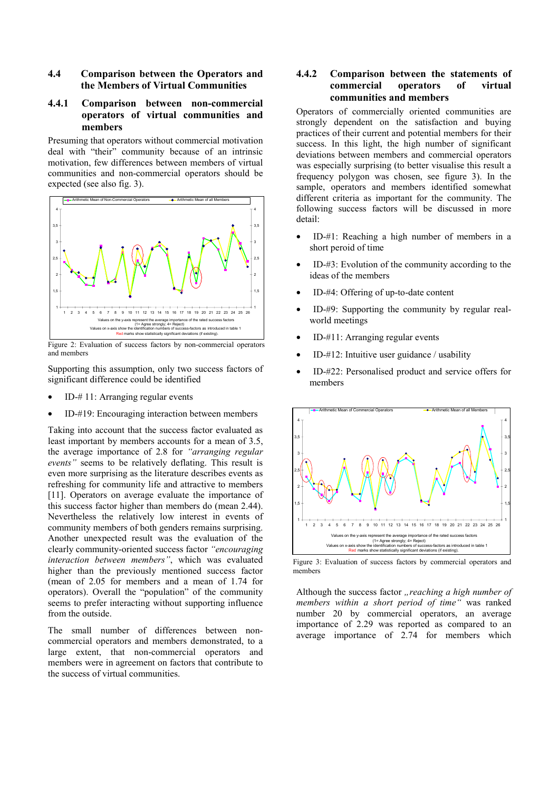#### **4.4 Comparison between the Operators and the Members of Virtual Communities**

# **4.4.1 Comparison between non-commercial operators of virtual communities and members**

Presuming that operators without commercial motivation deal with "their" community because of an intrinsic motivation, few differences between members of virtual communities and non-commercial operators should be expected (see also fig. 3).



Figure 2: Evaluation of success factors by non-commercial operators and members

Supporting this assumption, only two success factors of significant difference could be identified

- ID-# 11: Arranging regular events
- ID-#19: Encouraging interaction between members

Taking into account that the success factor evaluated as least important by members accounts for a mean of 3.5, the average importance of 2.8 for *"arranging regular events"* seems to be relatively deflating. This result is even more surprising as the literature describes events as refreshing for community life and attractive to members [11]. Operators on average evaluate the importance of this success factor higher than members do (mean 2.44). Nevertheless the relatively low interest in events of community members of both genders remains surprising. Another unexpected result was the evaluation of the clearly community-oriented success factor *"encouraging interaction between members"*, which was evaluated higher than the previously mentioned success factor (mean of 2.05 for members and a mean of 1.74 for operators). Overall the "population" of the community seems to prefer interacting without supporting influence from the outside.

The small number of differences between noncommercial operators and members demonstrated, to a large extent, that non-commercial operators and members were in agreement on factors that contribute to the success of virtual communities.

#### **4.4.2 Comparison between the statements of commercial operators of virtual communities and members**

Operators of commercially oriented communities are strongly dependent on the satisfaction and buying practices of their current and potential members for their success. In this light, the high number of significant deviations between members and commercial operators was especially surprising (to better visualise this result a frequency polygon was chosen, see figure 3). In the sample, operators and members identified somewhat different criteria as important for the community. The following success factors will be discussed in more detail:

- ID-#1: Reaching a high number of members in a short peroid of time
- ID- $#3$ : Evolution of the community according to the ideas of the members
- ID-#4: Offering of up-to-date content
- ID-#9: Supporting the community by regular realworld meetings
- ID-#11: Arranging regular events
- ID-#12: Intuitive user guidance / usability
- ID-#22: Personalised product and service offers for members



Figure 3: Evaluation of success factors by commercial operators and members

Although the success factor *"reaching a high number of members within a short period of time"* was ranked number 20 by commercial operators, an average importance of 2.29 was reported as compared to an average importance of 2.74 for members which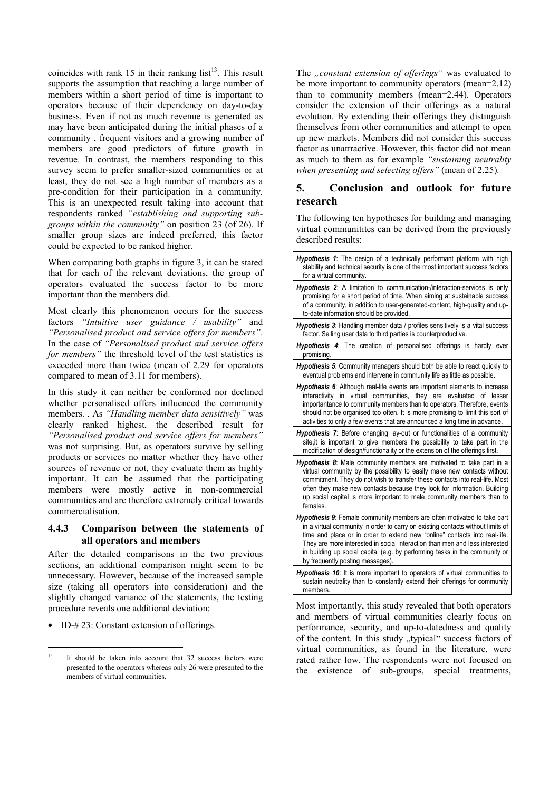coincides with rank  $15$  in their ranking list<sup>13</sup>. This result supports the assumption that reaching a large number of members within a short period of time is important to operators because of their dependency on day-to-day business. Even if not as much revenue is generated as may have been anticipated during the initial phases of a community , frequent visitors and a growing number of members are good predictors of future growth in revenue. In contrast, the members responding to this survey seem to prefer smaller-sized communities or at least, they do not see a high number of members as a pre-condition for their participation in a community. This is an unexpected result taking into account that respondents ranked *"establishing and supporting subgroups within the community"* on position 23 (of 26). If smaller group sizes are indeed preferred, this factor could be expected to be ranked higher.

When comparing both graphs in figure 3, it can be stated that for each of the relevant deviations, the group of operators evaluated the success factor to be more important than the members did.

Most clearly this phenomenon occurs for the success factors *"Intuitive user guidance / usability"* and *"Personalised product and service offers for members"*. In the case of *"Personalised product and service offers for members"* the threshold level of the test statistics is exceeded more than twice (mean of 2.29 for operators compared to mean of 3.11 for members).

In this study it can neither be conformed nor declined whether personalised offers influenced the community members. . As *"Handling member data sensitively"* was clearly ranked highest, the described result for *"Personalised product and service offers for members"*  was not surprising. But, as operators survive by selling products or services no matter whether they have other sources of revenue or not, they evaluate them as highly important. It can be assumed that the participating members were mostly active in non-commercial communities and are therefore extremely critical towards commercialisation.

# **4.4.3 Comparison between the statements of all operators and members**

After the detailed comparisons in the two previous sections, an additional comparison might seem to be unnecessary. However, because of the increased sample size (taking all operators into consideration) and the slightly changed variance of the statements, the testing procedure reveals one additional deviation:

• ID-#23: Constant extension of offerings.

The *"constant extension of offerings*" was evaluated to be more important to community operators (mean=2.12) than to community members (mean=2.44). Operators consider the extension of their offerings as a natural evolution. By extending their offerings they distinguish themselves from other communities and attempt to open up new markets. Members did not consider this success factor as unattractive. However, this factor did not mean as much to them as for example *"sustaining neutrality when presenting and selecting offers"* (mean of 2.25)*.*

# **5. Conclusion and outlook for future research**

The following ten hypotheses for building and managing virtual communitites can be derived from the previously described results:

| <b>Hypothesis 1:</b> The design of a technically performant platform with high<br>stability and technical security is one of the most important success factors<br>for a virtual community.                                                                                                                                                                                                                                                       |
|---------------------------------------------------------------------------------------------------------------------------------------------------------------------------------------------------------------------------------------------------------------------------------------------------------------------------------------------------------------------------------------------------------------------------------------------------|
| <b>Hypothesis 2:</b> A limitation to communication-/interaction-services is only<br>promising for a short period of time. When aiming at sustainable success<br>of a community, in addition to user-generated-content, high-quality and up-<br>to-date information should be provided.                                                                                                                                                            |
| <b>Hypothesis 3:</b> Handling member data / profiles sensitively is a vital success<br>factor. Selling user data to third parties is counterproductive.                                                                                                                                                                                                                                                                                           |
| <b>Hypothesis 4:</b> The creation of personalised offerings is hardly ever<br>promising.                                                                                                                                                                                                                                                                                                                                                          |
| <b>Hypothesis 5:</b> Community managers should both be able to react quickly to<br>eventual problems and intervene in community life as little as possible.                                                                                                                                                                                                                                                                                       |
| Hypothesis 6: Although real-life events are important elements to increase<br>interactivity in virtual communities, they are evaluated of lesser<br>importantance to community members than to operators. Therefore, events<br>should not be organised too often. It is more promising to limit this sort of<br>activities to only a few events that are announced a long time in advance.                                                        |
| <b>Hypothesis 7:</b> Before changing lay-out or functionalities of a community<br>site, it is important to give members the possibility to take part in the<br>modification of design/functionality or the extension of the offerings first.                                                                                                                                                                                                      |
| Hypothesis 8: Male community members are motivated to take part in a<br>virtual community by the possibility to easily make new contacts without<br>commitment. They do not wish to transfer these contacts into real-life. Most<br>often they make new contacts because they look for information. Building<br>up social capital is more important to male community members than to<br>females.                                                 |
| <b>Hypothesis 9:</b> Female community members are often motivated to take part<br>in a virtual community in order to carry on existing contacts without limits of<br>time and place or in order to extend new "online" contacts into real-life.<br>They are more interested in social interaction than men and less interested<br>in building up social capital (e.g. by performing tasks in the community or<br>by frequently posting messages). |
| <b>Hypothesis 10:</b> It is more important to operators of virtual communities to<br>sustain neutrality than to constantly extend their offerings for community<br>members.                                                                                                                                                                                                                                                                       |

Most importantly, this study revealed that both operators and members of virtual communities clearly focus on performance, security, and up-to-datedness and quality of the content. In this study "typical" success factors of virtual communities, as found in the literature, were rated rather low. The respondents were not focused on the existence of sub-groups, special treatments,

 $\overline{13}$ It should be taken into account that 32 success factors were presented to the operators whereas only 26 were presented to the members of virtual communities.